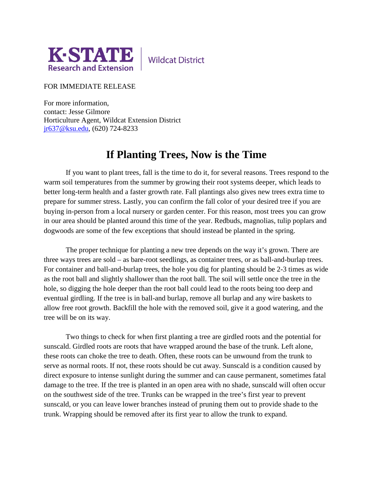

**Wildcat District** 

## FOR IMMEDIATE RELEASE

For more information, contact: Jesse Gilmore Horticulture Agent, Wildcat Extension District [jr637@ksu.edu,](mailto:jr637@ksu.edu) (620) 724-8233

## **If Planting Trees, Now is the Time**

If you want to plant trees, fall is the time to do it, for several reasons. Trees respond to the warm soil temperatures from the summer by growing their root systems deeper, which leads to better long-term health and a faster growth rate. Fall plantings also gives new trees extra time to prepare for summer stress. Lastly, you can confirm the fall color of your desired tree if you are buying in-person from a local nursery or garden center. For this reason, most trees you can grow in our area should be planted around this time of the year. Redbuds, magnolias, tulip poplars and dogwoods are some of the few exceptions that should instead be planted in the spring.

The proper technique for planting a new tree depends on the way it's grown. There are three ways trees are sold – as bare-root seedlings, as container trees, or as ball-and-burlap trees. For container and ball-and-burlap trees, the hole you dig for planting should be 2-3 times as wide as the root ball and slightly shallower than the root ball. The soil will settle once the tree in the hole, so digging the hole deeper than the root ball could lead to the roots being too deep and eventual girdling. If the tree is in ball-and burlap, remove all burlap and any wire baskets to allow free root growth. Backfill the hole with the removed soil, give it a good watering, and the tree will be on its way.

Two things to check for when first planting a tree are girdled roots and the potential for sunscald. Girdled roots are roots that have wrapped around the base of the trunk. Left alone, these roots can choke the tree to death. Often, these roots can be unwound from the trunk to serve as normal roots. If not, these roots should be cut away. Sunscald is a condition caused by direct exposure to intense sunlight during the summer and can cause permanent, sometimes fatal damage to the tree. If the tree is planted in an open area with no shade, sunscald will often occur on the southwest side of the tree. Trunks can be wrapped in the tree's first year to prevent sunscald, or you can leave lower branches instead of pruning them out to provide shade to the trunk. Wrapping should be removed after its first year to allow the trunk to expand.